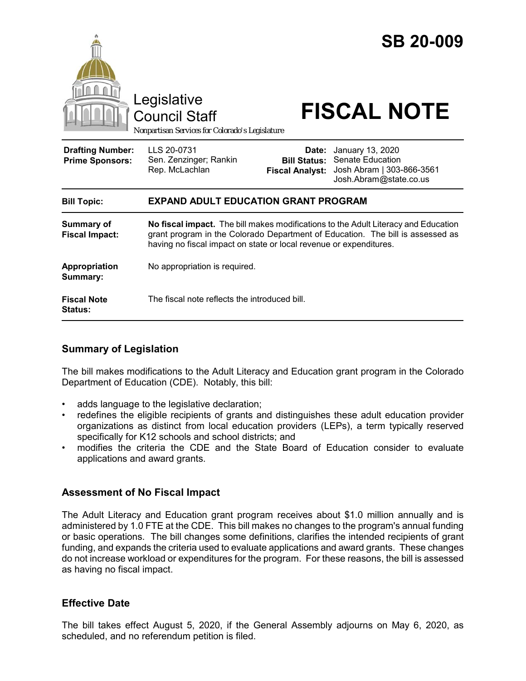

## **Bill Topic: EXPAND ADULT EDUCATION GRANT PROGRAM**

| <b>Summary of</b><br><b>Fiscal Impact:</b> | No fiscal impact. The bill makes modifications to the Adult Literacy and Education<br>grant program in the Colorado Department of Education. The bill is assessed as<br>having no fiscal impact on state or local revenue or expenditures. |
|--------------------------------------------|--------------------------------------------------------------------------------------------------------------------------------------------------------------------------------------------------------------------------------------------|
| Appropriation<br>Summary:                  | No appropriation is required.                                                                                                                                                                                                              |
| <b>Fiscal Note</b><br><b>Status:</b>       | The fiscal note reflects the introduced bill.                                                                                                                                                                                              |

# **Summary of Legislation**

The bill makes modifications to the Adult Literacy and Education grant program in the Colorado Department of Education (CDE). Notably, this bill:

- adds language to the legislative declaration;
- redefines the eligible recipients of grants and distinguishes these adult education provider organizations as distinct from local education providers (LEPs), a term typically reserved specifically for K12 schools and school districts; and
- modifies the criteria the CDE and the State Board of Education consider to evaluate applications and award grants.

# **Assessment of No Fiscal Impact**

The Adult Literacy and Education grant program receives about \$1.0 million annually and is administered by 1.0 FTE at the CDE. This bill makes no changes to the program's annual funding or basic operations. The bill changes some definitions, clarifies the intended recipients of grant funding, and expands the criteria used to evaluate applications and award grants. These changes do not increase workload or expenditures for the program. For these reasons, the bill is assessed as having no fiscal impact.

# **Effective Date**

The bill takes effect August 5, 2020, if the General Assembly adjourns on May 6, 2020, as scheduled, and no referendum petition is filed.